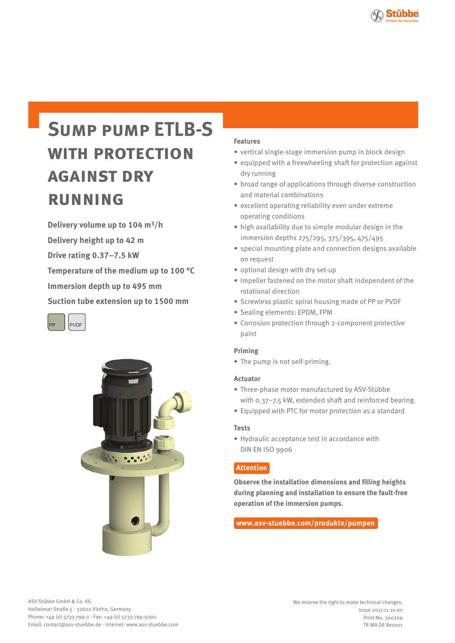

# **Sump pump ETLB-S with protection against dry running**

**Delivery volume up to 104 m3/h Delivery height up to 42 m Drive rating 0.37–7.5 kW Temperature of the medium up to 100 °C Immersion depth up to 495 mm Suction tube extension up to 1500 mm**





#### **Features**

- vertical single-stage immersion pump in block design
- equipped with a freewheeling shaft for protection against dry running
- broad range of applications through diverse construction and material combinations
- excellent operating reliability even under extreme operating conditions
- high availability due to simple modular design in the immersion depths 275/295, 375/395, 475/495
- special mounting plate and connection designs available on request
- optional design with dry set-up
- Impeller fastened on the motor shaft independent of the rotational direction
- Screwless plastic spiral housing made of PP or PVDF
- Sealing elements: EPDM, FPM
- Corrosion protection through 2-component protective paint

#### **Priming**

• The pump is not self-priming.

#### **Actuator**

- Three-phase motor manufactured by ASV-Stübbe with 0.37–7.5 kW, extended shaft and reinforced bearing.
- Equipped with PTC for motor protection as a standard

#### **Tests**

• Hydraulic acceptance test in accordance with DIN EN ISO 9906

### **Attention**

**Observe the installation dimensions and filling heights during planning and installation to ensure the fault-free operation of the immersion pumps.**

#### **www.asv-stuebbe.com/produkte/pumpen**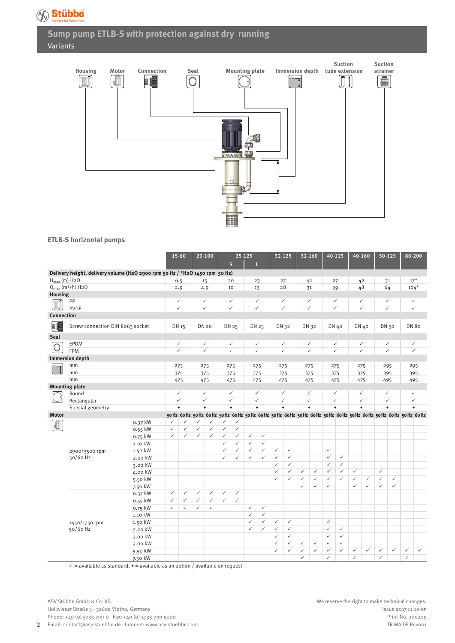

# **Sump pump ETLB-S with protection against dry running** Variants



#### **ETLB-S horizontal pumps**

|                               |                                                                             |                    |                              | 25-125<br>15-60<br>$20 - 100$ |                              | 32-125                       |                           | 32-160                       |                           |              | 40-125       | 40-160       |              |              | 50-125                       | 80-200       |                                                                                                                                      |              |                           |              |              |              |
|-------------------------------|-----------------------------------------------------------------------------|--------------------|------------------------------|-------------------------------|------------------------------|------------------------------|---------------------------|------------------------------|---------------------------|--------------|--------------|--------------|--------------|--------------|------------------------------|--------------|--------------------------------------------------------------------------------------------------------------------------------------|--------------|---------------------------|--------------|--------------|--------------|
|                               |                                                                             |                    |                              |                               |                              |                              |                           | $\mathsf{s}$                 |                           | П            |              |              |              |              |                              |              |                                                                                                                                      |              |                           |              |              |              |
|                               | Delivery height, delivery volume (H2O 2900 rpm 50 Hz / *H2O 1450 rpm 50 Hz) |                    |                              |                               |                              |                              |                           |                              |                           |              |              |              |              |              |                              |              |                                                                                                                                      |              |                           |              |              |              |
| $H_{max}(m)$ H <sub>2</sub> O |                                                                             |                    |                              | 6.5                           | 15                           |                              |                           | 20                           |                           | 23           | 27           |              | 42           |              | 27                           |              | 42                                                                                                                                   |              | 31                        |              | $17*$        |              |
|                               | $Q_{max}(m^3/h)$ H <sub>2</sub> O                                           |                    |                              | 2.9                           | 4.9                          |                              |                           | 10                           |                           | 13           |              | 28           | 31           |              |                              | 39           | 48                                                                                                                                   |              | 64                        |              | $104*$       |              |
| Housing                       |                                                                             |                    |                              |                               |                              |                              |                           |                              |                           |              |              |              |              |              |                              |              |                                                                                                                                      |              |                           |              |              |              |
|                               | PP                                                                          |                    |                              | ✓                             |                              | $\checkmark$                 |                           | ✓                            |                           | $\checkmark$ | $\checkmark$ |              | $\checkmark$ |              |                              | $\checkmark$ | ✓                                                                                                                                    |              |                           | $\checkmark$ | ✓            |              |
|                               | <b>PVDF</b>                                                                 |                    |                              | $\checkmark$                  |                              | $\checkmark$                 |                           | $\checkmark$                 |                           | $\checkmark$ | ✓            |              | $\checkmark$ |              |                              | $\checkmark$ | $\checkmark$                                                                                                                         |              |                           | $\checkmark$ | $\checkmark$ |              |
| Connection                    |                                                                             |                    |                              |                               |                              |                              |                           |                              |                           |              |              |              |              |              |                              |              |                                                                                                                                      |              |                           |              |              |              |
| a (                           | Screw connection DIN 8063 socket                                            |                    | DN 15                        |                               | <b>DN 20</b>                 |                              | DN 25                     |                              |                           | DN 25        | DN 32        |              | DN 32        |              |                              | DN 40        | DN 40                                                                                                                                |              |                           | DN 50        | <b>DN 80</b> |              |
| Seal                          |                                                                             |                    |                              |                               |                              |                              |                           |                              |                           |              |              |              |              |              |                              |              |                                                                                                                                      |              |                           |              |              |              |
|                               | EPDM                                                                        |                    |                              | ✓                             | $\checkmark$                 |                              |                           | ✓                            |                           | $\checkmark$ | ✓            |              | $\checkmark$ |              |                              | ✓            | $\checkmark$                                                                                                                         |              |                           | $\checkmark$ | ✓            |              |
|                               | <b>FPM</b>                                                                  |                    |                              | ✓                             |                              | $\checkmark$                 |                           | $\checkmark$                 |                           | $\checkmark$ |              | $\checkmark$ | $\checkmark$ |              |                              | $\checkmark$ | $\checkmark$                                                                                                                         |              |                           | $\checkmark$ | $\checkmark$ |              |
|                               | <b>Immersion depth</b>                                                      |                    |                              |                               |                              |                              |                           |                              |                           |              |              |              |              |              |                              |              |                                                                                                                                      |              |                           |              |              |              |
|                               | mm                                                                          |                    |                              | 275                           | 275                          |                              |                           | 275                          |                           | 275          | 275          |              | 275          |              |                              | 275          | 275                                                                                                                                  |              | 295                       |              | 295          |              |
|                               | mm                                                                          |                    |                              | 375                           | 375                          |                              |                           | 375                          |                           | 375          | 375          |              | 375          |              |                              | 375          | 375                                                                                                                                  |              |                           | 395          | 395          |              |
|                               | mm                                                                          |                    |                              |                               | 475                          |                              |                           | 475                          |                           | 475          | 475          |              | 475          |              |                              | 475          | 475                                                                                                                                  |              |                           | 495          | 495          |              |
|                               | <b>Mounting plate</b>                                                       |                    |                              |                               |                              |                              |                           |                              |                           |              |              |              |              |              |                              |              |                                                                                                                                      |              |                           |              |              |              |
|                               | Round                                                                       |                    |                              | ✓                             |                              | $\checkmark$                 |                           | $\checkmark$                 |                           | $\checkmark$ | $\checkmark$ |              | $\checkmark$ |              | $\checkmark$<br>$\checkmark$ |              | $\checkmark$                                                                                                                         |              |                           | $\checkmark$ | ✓            |              |
|                               | Rectangular                                                                 |                    |                              | $\checkmark$                  | $\checkmark$<br>$\bullet$    |                              | $\checkmark$<br>$\bullet$ |                              | $\checkmark$<br>$\bullet$ |              |              | $\checkmark$ | $\checkmark$ |              |                              |              | $\checkmark$                                                                                                                         |              | $\checkmark$<br>$\bullet$ |              | $\checkmark$ |              |
|                               | Special geometry                                                            |                    |                              | $\bullet$                     |                              |                              |                           |                              |                           |              | $\bullet$    |              | $\bullet$    |              |                              | $\bullet$    | $\bullet$<br>50 Hz 60 Hz 50 Hz 60 Hz 50 Hz 60 Hz 50 Hz 60 Hz 50 Hz 60 Hz 50 Hz 60 Hz 50 Hz 60 Hz 50 Hz 60 Hz 50 Hz 60 Hz 50 Hz 60 Hz |              |                           |              | $\bullet$    |              |
| <b>Motor</b>                  |                                                                             |                    |                              |                               |                              |                              | $\checkmark$              |                              |                           |              |              |              |              |              |                              |              |                                                                                                                                      |              |                           |              |              |              |
|                               |                                                                             | 0.37 kW            | $\checkmark$<br>$\checkmark$ | ✓<br>$\checkmark$             | $\checkmark$<br>$\checkmark$ | $\checkmark$<br>$\checkmark$ | $\checkmark$              | $\checkmark$<br>$\checkmark$ |                           |              |              |              |              |              |                              |              |                                                                                                                                      |              |                           |              |              |              |
|                               |                                                                             | 0.55 kW<br>0.75 kW | $\checkmark$                 | $\checkmark$                  | $\checkmark$                 | $\checkmark$                 | $\checkmark$              | $\checkmark$                 | $\checkmark$              | $\checkmark$ |              |              |              |              |                              |              |                                                                                                                                      |              |                           |              |              |              |
|                               |                                                                             | 1.10 kW            |                              |                               |                              |                              | $\checkmark$              | $\checkmark$                 | $\checkmark$              | $\checkmark$ |              |              |              |              |                              |              |                                                                                                                                      |              |                           |              |              |              |
|                               |                                                                             | 1.50 kW            |                              |                               |                              |                              | $\checkmark$              | $\checkmark$                 | $\checkmark$              | $\checkmark$ | $\checkmark$ | $\checkmark$ |              |              | $\checkmark$                 |              |                                                                                                                                      |              |                           |              |              |              |
|                               | 2900/3500 rpm<br>50/60 Hz                                                   | 2.20 kW            |                              |                               |                              |                              | $\checkmark$              | $\checkmark$                 | $\checkmark$              | $\checkmark$ | ✓            | $\checkmark$ |              |              | $\checkmark$                 | $\checkmark$ |                                                                                                                                      |              |                           |              |              |              |
|                               |                                                                             | 3.00 kW            |                              |                               |                              |                              |                           |                              |                           |              | ✓            | ✓            |              |              | $\checkmark$                 | $\checkmark$ |                                                                                                                                      |              |                           |              |              |              |
|                               |                                                                             | 4.00 kW            |                              |                               |                              |                              |                           |                              |                           |              | ✓            | $\checkmark$ | $\checkmark$ | $\checkmark$ | $\checkmark$                 | $\checkmark$ | $\checkmark$                                                                                                                         |              | $\checkmark$              |              |              |              |
|                               |                                                                             | 5.50 kW            |                              |                               |                              |                              |                           |                              |                           |              | $\checkmark$ | $\checkmark$ | $\checkmark$ | $\checkmark$ | $\checkmark$                 | $\checkmark$ | $\checkmark$                                                                                                                         | $\checkmark$ | $\checkmark$              | $\checkmark$ |              |              |
|                               |                                                                             | 7.50 kW            |                              |                               |                              |                              |                           |                              |                           |              |              |              | $\checkmark$ | $\checkmark$ | $\checkmark$                 |              | $\checkmark$                                                                                                                         | $\checkmark$ | $\checkmark$              | $\checkmark$ |              |              |
|                               |                                                                             | 0.37 kW            | $\checkmark$                 | ✓                             | $\checkmark$                 | $\checkmark$                 | $\checkmark$              | $\checkmark$                 |                           |              |              |              |              |              |                              |              |                                                                                                                                      |              |                           |              |              |              |
|                               |                                                                             | 0.55 kW            | $\checkmark$                 | $\checkmark$                  | $\checkmark$                 | $\checkmark$                 | $\checkmark$              | $\checkmark$                 |                           |              |              |              |              |              |                              |              |                                                                                                                                      |              |                           |              |              |              |
|                               |                                                                             | 0.75 kW            | $\checkmark$                 | $\checkmark$                  | $\checkmark$                 | $\checkmark$                 |                           |                              | $\checkmark$              | $\checkmark$ |              |              |              |              |                              |              |                                                                                                                                      |              |                           |              |              |              |
|                               |                                                                             | 1.10 kW            |                              |                               |                              |                              |                           |                              | ✓                         | $\checkmark$ |              |              |              |              |                              |              |                                                                                                                                      |              |                           |              |              |              |
|                               | 1450/1750 rpm                                                               | 1.50 kW            |                              |                               |                              |                              |                           |                              | $\checkmark$              | $\checkmark$ | $\checkmark$ | $\checkmark$ |              |              | $\checkmark$                 |              |                                                                                                                                      |              |                           |              |              |              |
|                               | 50/60 Hz                                                                    | 2.20 kW            |                              |                               |                              |                              |                           |                              | $\checkmark$              | $\checkmark$ | $\checkmark$ | $\checkmark$ |              |              | $\checkmark$                 | $\checkmark$ |                                                                                                                                      |              |                           |              |              |              |
|                               |                                                                             | 3.00 kW            |                              |                               |                              |                              |                           |                              |                           |              | $\checkmark$ | $\checkmark$ |              |              | $\checkmark$                 | $\checkmark$ |                                                                                                                                      |              |                           |              |              |              |
|                               |                                                                             | 4.00 kW            |                              |                               |                              |                              |                           |                              |                           |              | $\checkmark$ | $\checkmark$ | $\checkmark$ | $\checkmark$ | $\checkmark$                 | $\checkmark$ |                                                                                                                                      |              |                           |              |              |              |
|                               |                                                                             | 5.50 kW            |                              |                               |                              |                              |                           |                              |                           |              | $\checkmark$ | ✓            | $\checkmark$ | $\checkmark$ | $\checkmark$                 | $\checkmark$ | $\checkmark$                                                                                                                         | $\checkmark$ | ✓                         | $\checkmark$ | $\checkmark$ | $\checkmark$ |
|                               |                                                                             | 7.50 kW            |                              |                               |                              |                              |                           |                              |                           |              |              |              | $\checkmark$ |              | $\checkmark$                 |              | $\checkmark$                                                                                                                         |              | $\checkmark$              |              | $\checkmark$ |              |

 $\checkmark$  = available as standard,  $\bullet$  = available as an option / available on request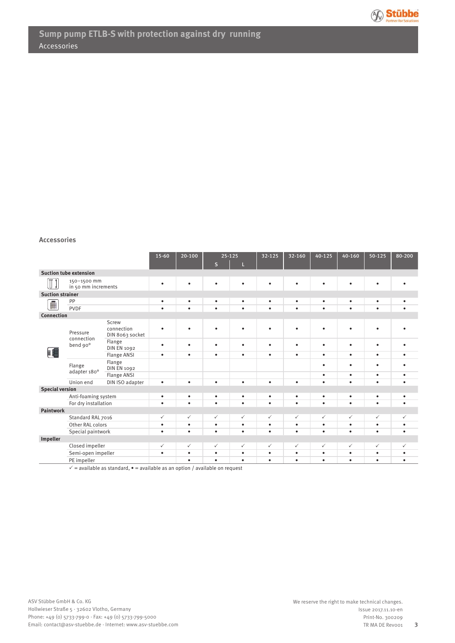

#### **Accessories**

|                                                 |                                                                    | $15 - 60$                              | 20-100    | $25 - 125$                                                |              | 32-125       | 32-160       |              | $40 - 125$<br>40-160 |              | 80-200       |              |
|-------------------------------------------------|--------------------------------------------------------------------|----------------------------------------|-----------|-----------------------------------------------------------|--------------|--------------|--------------|--------------|----------------------|--------------|--------------|--------------|
|                                                 |                                                                    |                                        |           |                                                           | $\mathsf{s}$ | L            |              |              |                      |              |              |              |
|                                                 | <b>Suction tube extension</b>                                      |                                        |           |                                                           |              |              |              |              |                      |              |              |              |
| $\overline{\mathsf{T}}$ $\overline{\mathsf{I}}$ | 150-1500 mm<br>in 50 mm increments                                 |                                        | $\bullet$ | ٠                                                         | ٠            | $\bullet$    | ٠            |              | ٠                    | ٠            |              |              |
| <b>Suction strainer</b>                         |                                                                    |                                        |           |                                                           |              |              |              |              |                      |              |              |              |
| Ê                                               | PP                                                                 |                                        | $\bullet$ | $\bullet$                                                 | $\bullet$    | $\bullet$    | $\bullet$    | ٠            | ٠                    | $\bullet$    | $\bullet$    | ٠            |
|                                                 | <b>PVDF</b>                                                        |                                        | $\bullet$ | $\bullet$                                                 | $\bullet$    | $\bullet$    | $\bullet$    | $\bullet$    | $\bullet$            | $\bullet$    | $\bullet$    | $\bullet$    |
| Connection                                      |                                                                    |                                        |           |                                                           |              |              |              |              |                      |              |              |              |
|                                                 | Pressure<br>connection                                             | Screw<br>connection<br>DIN 8063 socket | ٠         | $\bullet$                                                 | $\bullet$    | $\bullet$    | $\bullet$    | ٠            | ٠                    | $\bullet$    | $\bullet$    |              |
| 唱                                               | bend 90°                                                           | Flange<br><b>DIN EN 1092</b>           | $\bullet$ | $\bullet$                                                 | $\bullet$    | $\bullet$    | $\bullet$    | ٠            | $\bullet$            | $\bullet$    | $\bullet$    |              |
|                                                 |                                                                    | <b>Flange ANSI</b>                     | ٠         | $\bullet$                                                 | $\bullet$    | $\bullet$    | ٠            | ٠            | $\bullet$            | $\bullet$    | $\bullet$    | ٠            |
|                                                 | Flange<br>adapter 180°                                             | Flange<br><b>DIN EN 1092</b>           |           |                                                           |              |              |              |              | $\bullet$            | $\bullet$    | $\bullet$    | ٠            |
|                                                 |                                                                    | <b>Flange ANSI</b>                     |           |                                                           |              |              |              |              | $\bullet$            | $\bullet$    | $\bullet$    | $\bullet$    |
|                                                 | Union end                                                          | DIN ISO adapter                        | $\bullet$ | $\bullet$                                                 | $\bullet$    | $\bullet$    | $\bullet$    | ٠            | $\bullet$            | $\bullet$    | $\bullet$    | $\bullet$    |
| <b>Special version</b>                          |                                                                    |                                        |           |                                                           |              |              |              |              |                      |              |              |              |
|                                                 | Anti-foaming system                                                |                                        | $\bullet$ | $\bullet$                                                 | $\bullet$    | ٠            | $\bullet$    | ٠            | $\bullet$            | $\bullet$    | $\bullet$    | $\bullet$    |
|                                                 | For dry installation                                               |                                        | $\bullet$ | $\bullet$                                                 | $\bullet$    | $\bullet$    | $\bullet$    | $\bullet$    | $\bullet$            | $\bullet$    | $\bullet$    | $\bullet$    |
| Paintwork                                       |                                                                    |                                        |           |                                                           |              |              |              |              |                      |              |              |              |
|                                                 | Standard RAL 7016                                                  |                                        | ✓         | $\checkmark$                                              | $\checkmark$ | $\checkmark$ | $\checkmark$ | $\checkmark$ | ✓                    | $\checkmark$ | $\checkmark$ | $\checkmark$ |
|                                                 | Other RAL colors                                                   |                                        | $\bullet$ | $\bullet$                                                 | $\bullet$    | $\bullet$    | $\bullet$    | $\bullet$    | $\bullet$            | $\bullet$    | $\bullet$    | $\bullet$    |
|                                                 | Special paintwork                                                  |                                        | $\bullet$ | $\bullet$                                                 | $\bullet$    | $\bullet$    | $\bullet$    | $\bullet$    | $\bullet$            | $\bullet$    | $\bullet$    | $\bullet$    |
| Impeller                                        |                                                                    |                                        |           |                                                           |              |              |              |              |                      |              |              |              |
|                                                 | Closed impeller                                                    |                                        | ✓         | $\checkmark$                                              | $\checkmark$ | $\checkmark$ | $\checkmark$ | $\checkmark$ | $\checkmark$         | $\checkmark$ | $\checkmark$ | ✓            |
|                                                 | Semi-open impeller                                                 |                                        | $\bullet$ | $\bullet$                                                 | $\bullet$    | $\bullet$    | $\bullet$    | $\bullet$    | $\bullet$            | $\bullet$    | $\bullet$    | ٠            |
|                                                 | PE impeller<br>$\lambda$ and $\lambda$ and $\lambda$ and $\lambda$ |                                        | $\cdots$  | $\bullet$<br>$\sim$ $\sim$ $\sim$ $\sim$ $\sim$<br>$\sim$ | $\bullet$    | $\bullet$    | $\bullet$    | ٠            | $\bullet$            | $\bullet$    | $\bullet$    | ٠            |

 $\checkmark$  = available as standard,  $\bullet$  = available as an option / available on request

**3**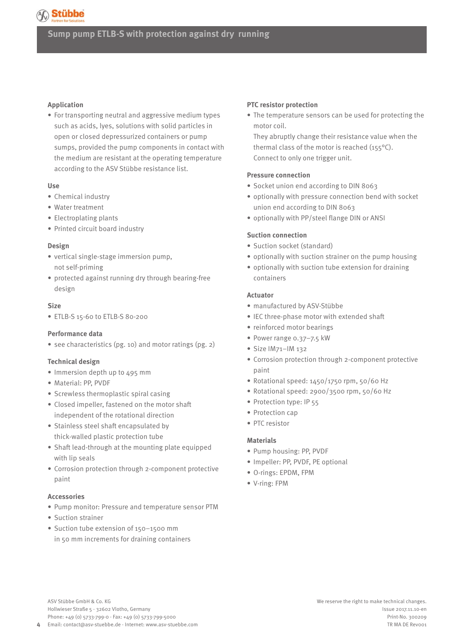# **Stübbe**

## **Sump pump ETLB-S with protection against dry running**

#### **Application**

• For transporting neutral and aggressive medium types such as acids, lyes, solutions with solid particles in open or closed depressurized containers or pump sumps, provided the pump components in contact with the medium are resistant at the operating temperature according to the ASV Stübbe resistance list.

#### **Use**

- Chemical industry
- Water treatment
- Electroplating plants
- Printed circuit board industry

#### **Design**

- vertical single-stage immersion pump, not self-priming
- protected against running dry through bearing-free design

#### **Size**

• ETLB-S 15-60 to ETLB-S 80-200

#### **Performance data**

• see characteristics (pg. 10) and motor ratings (pg. 2)

#### **Technical design**

- Immersion depth up to 495 mm
- Material: PP, PVDF
- Screwless thermoplastic spiral casing
- Closed impeller, fastened on the motor shaft independent of the rotational direction
- Stainless steel shaft encapsulated by thick-walled plastic protection tube
- Shaft lead-through at the mounting plate equipped with lip seals
- Corrosion protection through 2-component protective paint

#### **Accessories**

**4**

- Pump monitor: Pressure and temperature sensor PTM
- Suction strainer
- Suction tube extension of 150–1500 mm in 50 mm increments for draining containers

#### **PTC resistor protection**

• The temperature sensors can be used for protecting the motor coil.

They abruptly change their resistance value when the thermal class of the motor is reached (155°C). Connect to only one trigger unit.

#### **Pressure connection**

- Socket union end according to DIN 8063
- optionally with pressure connection bend with socket union end according to DIN 8063
- optionally with PP/steel flange DIN or ANSI

#### **Suction connection**

- Suction socket (standard)
- optionally with suction strainer on the pump housing
- optionally with suction tube extension for draining containers

#### **Actuator**

- manufactured by ASV-Stübbe
- IEC three-phase motor with extended shaft
- reinforced motor bearings
- Power range 0.37–7.5 kW
- Size IM71–IM 132
- Corrosion protection through 2-component protective paint
- Rotational speed: 1450/1750 rpm, 50/60 Hz
- Rotational speed: 2900/3500 rpm, 50/60 Hz
- Protection type: IP 55
- Protection cap
- PTC resistor

#### **Materials**

- Pump housing: PP, PVDF
- Impeller: PP, PVDF, PE optional
- O-rings: EPDM, FPM
- V-ring: FPM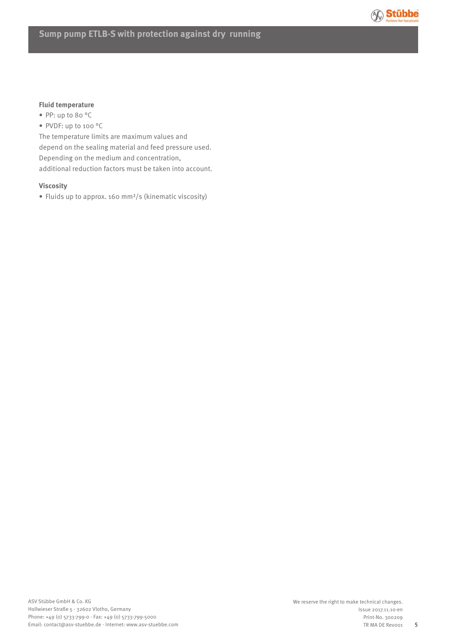

#### **Fluid temperature**

- PP: up to 80 °C
- PVDF: up to 100 °C

The temperature limits are maximum values and depend on the sealing material and feed pressure used. Depending on the medium and concentration, additional reduction factors must be taken into account.

#### **Viscosity**

• Fluids up to approx. 160 mm²/s (kinematic viscosity)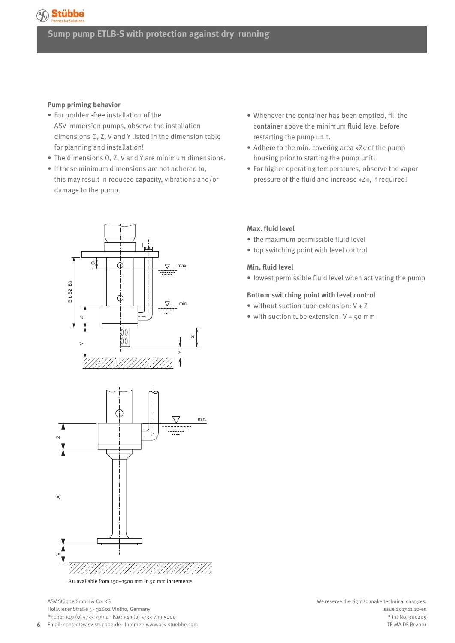# AC Stübbe

# **Sump pump ETLB-S with protection against dry running**

#### **Pump priming behavior**

- For problem-free installation of the ASV immersion pumps, observe the installation dimensions O, Z, V and Y listed in the dimension table for planning and installation!
- The dimensions O, Z, V and Y are minimum dimensions.
- If these minimum dimensions are not adhered to, this may result in reduced capacity, vibrations and/or damage to the pump.





A1: available from 150–1500 mm in 50 mm increments

- Whenever the container has been emptied, fill the container above the minimum fluid level before restarting the pump unit.
- Adhere to the min. covering area »Z« of the pump housing prior to starting the pump unit!
- For higher operating temperatures, observe the vapor pressure of the fluid and increase »Z«, if required!

#### **Max. fluid level**

- the maximum permissible fluid level
- top switching point with level control

#### **Min. fluid level**

• lowest permissible fluid level when activating the pump

#### **Bottom switching point with level control**

- without suction tube extension: V + Z
- with suction tube extension: V + 50 mm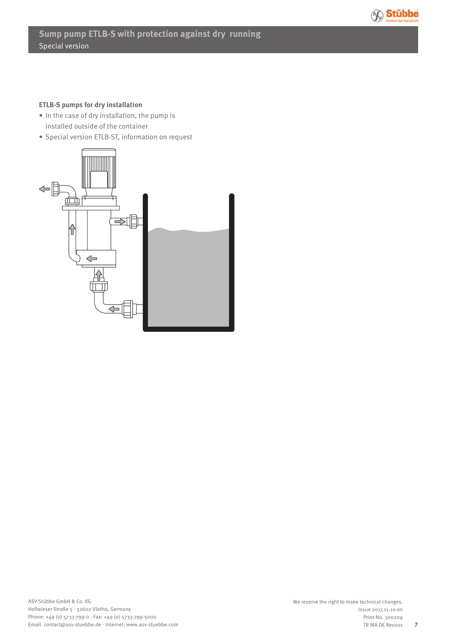

#### **ETLB-S pumps for dry installation**

- In the case of dry installation, the pump is installed outside of the container
- Special version ETLB-ST, information on request

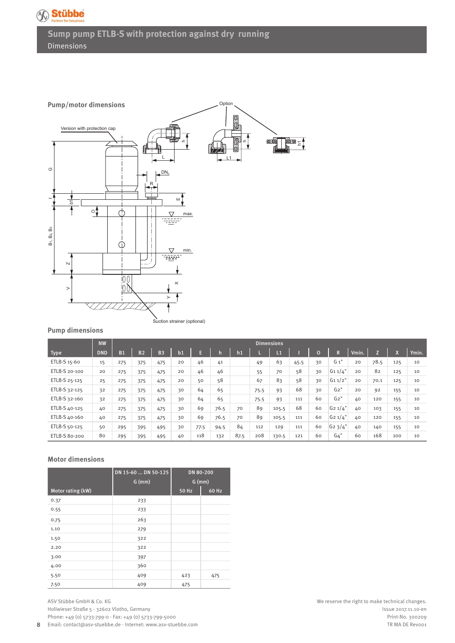

**Sump pump ETLB-S with protection against dry running** Dimensions



#### **Pump dimensions**

|               | <b>NW</b>  | <b>Dimensions</b> |           |           |                |      |      |      |      |       |      |                |            |       |      |     |       |
|---------------|------------|-------------------|-----------|-----------|----------------|------|------|------|------|-------|------|----------------|------------|-------|------|-----|-------|
| <b>Type</b>   | <b>DND</b> | <b>B1</b>         | <b>B2</b> | <b>B3</b> | b <sub>1</sub> | E    |      | h1   |      | L1    |      | $\overline{0}$ | R          | Vmin. |      |     | Ymin. |
| ETLB-S 15-60  | 15         | 275               | 375       | 475       | 20             | 46   | 41   |      | 49   | 63    | 45.5 | 30             | $G_1"$     | 20    | 78.5 | 125 | 10    |
| ETLB-S 20-100 | 20         | 275               | 375       | 475       | 20             | 46   | 46   |      | 55   | 70    | 58   | 30             | G11/4"     | 20    | 82   | 125 | 10    |
| ETLB-S 25-125 | 25         | 275               | 375       | 475       | 20             | 50   | 58   |      | 67   | 83    | 58   | 30             | $G_1 1/2"$ | 20    | 70.1 | 125 | 10    |
| ETLB-S 32-125 | 32         | 275               | 375       | 475       | 30             | 64   | 65   |      | 75.5 | 93    | 68   | 30             | G2"        | 20    | 92   | 155 | 10    |
| ETLB-S 32-160 | 32         | 275               | 375       | 475       | 30             | 64   | 65   |      | 75.5 | 93    | 111  | 60             | G2"        | 40    | 120  | 155 | 10    |
| ETLB-S 40-125 | 40         | 275               | 375       | 475       | 30             | 69   | 76.5 | 70   | 89   | 105.5 | 68   | 60             | $G_2 1/4"$ | 40    | 103  | 155 | 10    |
| ETLB-S 40-160 | 40         | 275               | 375       | 475       | 30             | 69   | 76.5 | 70   | 89   | 105.5 | 111  | 60             | $G_2 1/4"$ | 40    | 120  | 155 | 10    |
| ETLB-S 50-125 | 50         | 295               | 395       | 495       | 30             | 77.5 | 94.5 | 84   | 112  | 129   | 111  | 60             | $G_2$ 3/4" | 40    | 140  | 155 | 10    |
| ETLB-S 80-200 | 80         | 295               | 395       | 495       | 40             | 118  | 132  | 87.5 | 208  | 130.5 | 121  | 60             | G4"        | 60    | 168  | 100 | 10    |

#### **Motor dimensions**

|                   | DN 15-60  DN 50-125<br>$G$ (mm) | DN 80-200<br>$G$ (mm) |       |  |  |  |
|-------------------|---------------------------------|-----------------------|-------|--|--|--|
| Motor rating (kW) |                                 | <b>50 Hz</b>          | 60 Hz |  |  |  |
| 0.37              | 233                             |                       |       |  |  |  |
| 0.55              | 233                             |                       |       |  |  |  |
| 0.75              | 263                             |                       |       |  |  |  |
| 1.10              | 279                             |                       |       |  |  |  |
| 1.50              | 322                             |                       |       |  |  |  |
| 2.20              | 322                             |                       |       |  |  |  |
| 3.00              | 397                             |                       |       |  |  |  |
| 4.00              | 360                             |                       |       |  |  |  |
| 5.50              | 409                             | 423                   | 475   |  |  |  |
| 7.50              | 409                             | 475                   |       |  |  |  |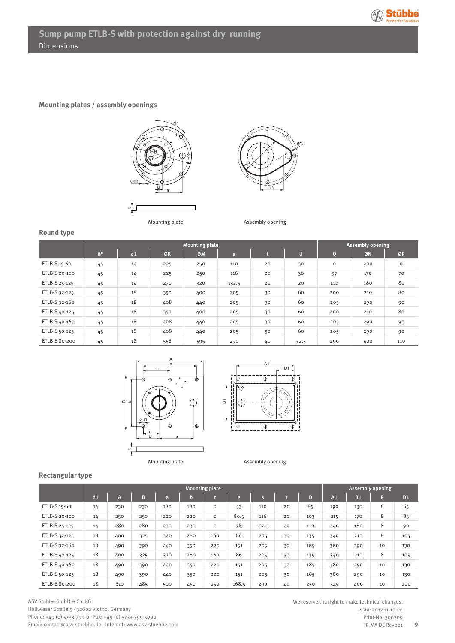

#### **Mounting plates / assembly openings**





Mounting plate **Assembly opening** 

## **Round type**

|               |    |    |     | <b>Assembly opening</b> |              |    |      |         |     |             |
|---------------|----|----|-----|-------------------------|--------------|----|------|---------|-----|-------------|
|               | ß° | d1 | ØK  | ØM                      | $\mathsf{s}$ |    | U    | IQ.     | ØN  | ØP          |
| ETLB-S 15-60  | 45 | 14 | 225 | 250                     | 110          | 20 | 30   | $\circ$ | 200 | $\mathsf O$ |
| ETLB-S 20-100 | 45 | 14 | 225 | 250                     | 116          | 20 | 30   | 97      | 170 | 70          |
| ETLB-S 25-125 | 45 | 14 | 270 | 320                     | 132.5        | 20 | 20   | 112     | 180 | 80          |
| ETLB-S 32-125 | 45 | 18 | 350 | 400                     | 205          | 30 | 60   | 200     | 210 | 80          |
| ETLB-S 32-160 | 45 | 18 | 408 | 440                     | 205          | 30 | 60   | 205     | 290 | 90          |
| ETLB-S 40-125 | 45 | 18 | 350 | 400                     | 205          | 30 | 60   | 200     | 210 | 80          |
| ETLB-S 40-160 | 45 | 18 | 408 | 440                     | 205          | 30 | 60   | 205     | 290 | 90          |
| ETLB-S 50-125 | 45 | 18 | 408 | 440                     | 205          | 30 | 60   | 205     | 290 | 90          |
| ETLB-S 80-200 | 45 | 18 | 556 | 595                     | 290          | 40 | 72.5 | 290     | 400 | 110         |





#### **Rectangular type**

|               |    |     |     | <b>Assembly opening</b> |     |              |       |       |    |     |                |                |    |                |
|---------------|----|-----|-----|-------------------------|-----|--------------|-------|-------|----|-----|----------------|----------------|----|----------------|
|               | d1 | m   | B   | a                       | b.  | $\mathsf{C}$ | e     | s     |    | D   | A <sub>1</sub> | B <sub>1</sub> | R  | D <sub>1</sub> |
| ETLB-S 15-60  | 14 | 230 | 230 | 180                     | 180 | $\circ$      | 53    | 110   | 20 | 85  | 190            | 130            | 8  | 65             |
| ETLB-S 20-100 | 14 | 250 | 250 | 220                     | 220 | $\circ$      | 80.5  | 116   | 20 | 103 | 215            | 170            | 8  | 85             |
| ETLB-S 25-125 | 14 | 280 | 280 | 230                     | 230 | $\circ$      | 78    | 132.5 | 20 | 110 | 240            | 180            | 8  | 90             |
| ETLB-S 32-125 | 18 | 400 | 325 | 320                     | 280 | 160          | 86    | 205   | 30 | 135 | 340            | 210            | 8  | 105            |
| ETLB-S 32-160 | 18 | 490 | 390 | 440                     | 350 | 220          | 151   | 205   | 30 | 185 | 380            | 290            | 10 | 130            |
| ETLB-S 40-125 | 18 | 400 | 325 | 320                     | 280 | 160          | 86    | 205   | 30 | 135 | 340            | 210            | 8  | 105            |
| ETLB-S 40-160 | 18 | 490 | 390 | 440                     | 350 | 220          | 151   | 205   | 30 | 185 | 380            | 290            | 10 | 130            |
| ETLB-S 50-125 | 18 | 490 | 390 | 440                     | 350 | 220          | 151   | 205   | 30 | 185 | 380            | 290            | 10 | 130            |
| ETLB-S 80-200 | 18 | 610 | 485 | 500                     | 450 | 250          | 168.5 | 290   | 40 | 230 | 545            | 400            | 10 | 200            |

We reserve the right to make technical changes. Issue 2017.11.10-en Print-No. 300209 TR MA DE Revoo1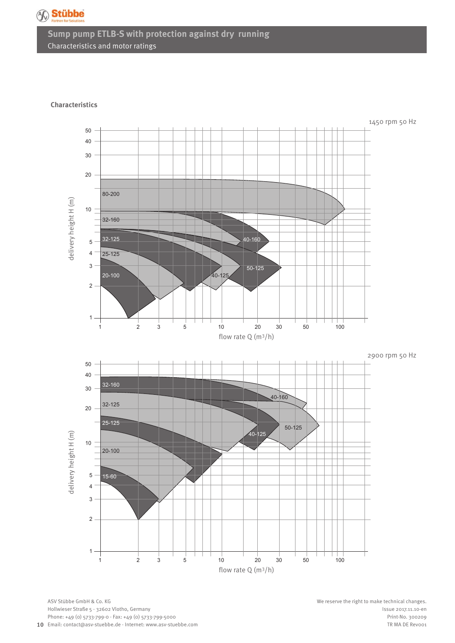

# **Sump pump ETLB-S with protection against dry running** Characteristics and motor ratings

#### **Characteristics**



**10** Email: contact@asv-stuebbe.de · Internet: www.asv-stuebbe.com ASV Stübbe GmbH & Co. KG Hollwieser Straße 5 · 32602 Vlotho, Germany Phone: +49 (0) 5733-799-0 · Fax: +49 (0) 5733-799-5000